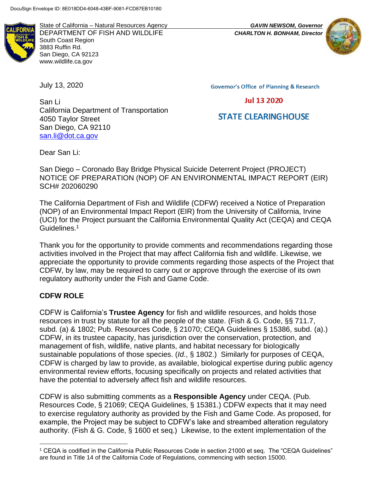

State of California – Natural Resources Agency *GAVIN NEWSOM, Governor* DEPARTMENT OF FISH AND WILDLIFE *CHARLTON H. BONHAM, Director* South Coast Region 3883 Ruffin Rd. San Diego, CA 92123 www.wildlife.ca.gov

July 13, 2020

**Governor's Office of Planning & Research** 

**Jul 13 2020** 

# **STATE CLEARINGHOUSE**

San Li California Department of Transportation 4050 Taylor Street San Diego, CA 92110 [san.li@dot.ca.gov](mailto:hashimol@uci.edu)

Dear San Li:

San Diego – Coronado Bay Bridge Physical Suicide Deterrent Project (PROJECT) NOTICE OF PREPARATION (NOP) OF AN ENVIRONMENTAL IMPACT REPORT (EIR) SCH# 202060290

The California Department of Fish and Wildlife (CDFW) received a Notice of Preparation (NOP) of an Environmental Impact Report (EIR) from the University of California, Irvine (UCI) for the Project pursuant the California Environmental Quality Act (CEQA) and CEQA Guidelines.<sup>1</sup>

Thank you for the opportunity to provide comments and recommendations regarding those activities involved in the Project that may affect California fish and wildlife. Likewise, we appreciate the opportunity to provide comments regarding those aspects of the Project that CDFW, by law, may be required to carry out or approve through the exercise of its own regulatory authority under the Fish and Game Code.

### **CDFW ROLE**

CDFW is California's **Trustee Agency** for fish and wildlife resources, and holds those resources in trust by statute for all the people of the state. (Fish & G. Code, §§ 711.7, subd. (a) & 1802; Pub. Resources Code, § 21070; CEQA Guidelines § 15386, subd. (a).) CDFW, in its trustee capacity, has jurisdiction over the conservation, protection, and management of fish, wildlife, native plants, and habitat necessary for biologically sustainable populations of those species. (*Id.*, § 1802.) Similarly for purposes of CEQA, CDFW is charged by law to provide, as available, biological expertise during public agency environmental review efforts, focusing specifically on projects and related activities that have the potential to adversely affect fish and wildlife resources.

CDFW is also submitting comments as a **Responsible Agency** under CEQA. (Pub. Resources Code, § 21069; CEQA Guidelines, § 15381.) CDFW expects that it may need to exercise regulatory authority as provided by the Fish and Game Code. As proposed, for example, the Project may be subject to CDFW's lake and streambed alteration regulatory authority. (Fish & G. Code, § 1600 et seq.) Likewise, to the extent implementation of the



<sup>1</sup> CEQA is codified in the California Public Resources Code in section 21000 et seq. The "CEQA Guidelines" are found in Title 14 of the California Code of Regulations, commencing with section 15000.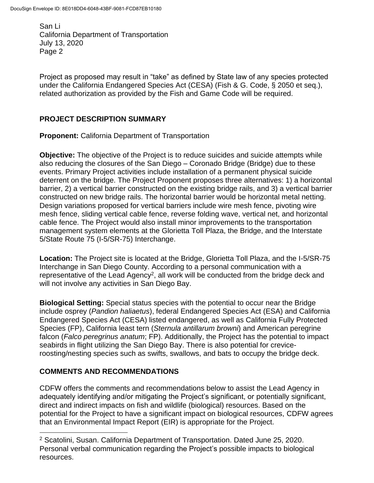Project as proposed may result in "take" as defined by State law of any species protected under the California Endangered Species Act (CESA) (Fish & G. Code, § 2050 et seq.), related authorization as provided by the Fish and Game Code will be required.

### **PROJECT DESCRIPTION SUMMARY**

**Proponent:** California Department of Transportation

**Objective:** The objective of the Project is to reduce suicides and suicide attempts while also reducing the closures of the San Diego – Coronado Bridge (Bridge) due to these events. Primary Project activities include installation of a permanent physical suicide deterrent on the bridge. The Project Proponent proposes three alternatives: 1) a horizontal barrier, 2) a vertical barrier constructed on the existing bridge rails, and 3) a vertical barrier constructed on new bridge rails. The horizontal barrier would be horizontal metal netting. Design variations proposed for vertical barriers include wire mesh fence, pivoting wire mesh fence, sliding vertical cable fence, reverse folding wave, vertical net, and horizontal cable fence. The Project would also install minor improvements to the transportation management system elements at the Glorietta Toll Plaza, the Bridge, and the Interstate 5/State Route 75 (I-5/SR-75) Interchange.

**Location:** The Project site is located at the Bridge, Glorietta Toll Plaza, and the I-5/SR-75 Interchange in San Diego County. According to a personal communication with a representative of the Lead Agency<sup>2</sup>, all work will be conducted from the bridge deck and will not involve any activities in San Diego Bay.

**Biological Setting:** Special status species with the potential to occur near the Bridge include osprey (*Pandion haliaetus*), federal Endangered Species Act (ESA) and California Endangered Species Act (CESA) listed endangered, as well as California Fully Protected Species (FP), California least tern (*Sternula antillarum browni*) and American peregrine falcon (*Falco peregrinus anatum*; FP). Additionally, the Project has the potential to impact seabirds in flight utilizing the San Diego Bay. There is also potential for creviceroosting/nesting species such as swifts, swallows, and bats to occupy the bridge deck.

## **COMMENTS AND RECOMMENDATIONS**

CDFW offers the comments and recommendations below to assist the Lead Agency in adequately identifying and/or mitigating the Project's significant, or potentially significant, direct and indirect impacts on fish and wildlife (biological) resources. Based on the potential for the Project to have a significant impact on biological resources, CDFW agrees that an Environmental Impact Report (EIR) is appropriate for the Project.

<sup>2</sup> Scatolini, Susan. California Department of Transportation. Dated June 25, 2020. Personal verbal communication regarding the Project's possible impacts to biological resources.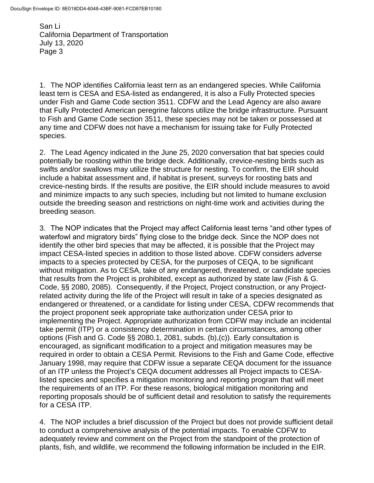1. The NOP identifies California least tern as an endangered species. While California least tern is CESA and ESA-listed as endangered, it is also a Fully Protected species under Fish and Game Code section 3511. CDFW and the Lead Agency are also aware that Fully Protected American peregrine falcons utilize the bridge infrastructure. Pursuant to Fish and Game Code section 3511, these species may not be taken or possessed at any time and CDFW does not have a mechanism for issuing take for Fully Protected species.

2. The Lead Agency indicated in the June 25, 2020 conversation that bat species could potentially be roosting within the bridge deck. Additionally, crevice-nesting birds such as swifts and/or swallows may utilize the structure for nesting. To confirm, the EIR should include a habitat assessment and, if habitat is present, surveys for roosting bats and crevice-nesting birds. If the results are positive, the EIR should include measures to avoid and minimize impacts to any such species, including but not limited to humane exclusion outside the breeding season and restrictions on night-time work and activities during the breeding season.

3. The NOP indicates that the Project may affect California least terns "and other types of waterfowl and migratory birds" flying close to the bridge deck. Since the NOP does not identify the other bird species that may be affected, it is possible that the Project may impact CESA-listed species in addition to those listed above. CDFW considers adverse impacts to a species protected by CESA, for the purposes of CEQA, to be significant without mitigation. As to CESA, take of any endangered, threatened, or candidate species that results from the Project is prohibited, except as authorized by state law (Fish & G. Code, §§ 2080, 2085). Consequently, if the Project, Project construction, or any Projectrelated activity during the life of the Project will result in take of a species designated as endangered or threatened, or a candidate for listing under CESA, CDFW recommends that the project proponent seek appropriate take authorization under CESA prior to implementing the Project. Appropriate authorization from CDFW may include an incidental take permit (ITP) or a consistency determination in certain circumstances, among other options (Fish and G. Code §§ 2080.1, 2081, subds. (b),(c)). Early consultation is encouraged, as significant modification to a project and mitigation measures may be required in order to obtain a CESA Permit. Revisions to the Fish and Game Code, effective January 1998, may require that CDFW issue a separate CEQA document for the issuance of an ITP unless the Project's CEQA document addresses all Project impacts to CESAlisted species and specifies a mitigation monitoring and reporting program that will meet the requirements of an ITP. For these reasons, biological mitigation monitoring and reporting proposals should be of sufficient detail and resolution to satisfy the requirements for a CESA ITP.

4. The NOP includes a brief discussion of the Project but does not provide sufficient detail to conduct a comprehensive analysis of the potential impacts. To enable CDFW to adequately review and comment on the Project from the standpoint of the protection of plants, fish, and wildlife, we recommend the following information be included in the EIR.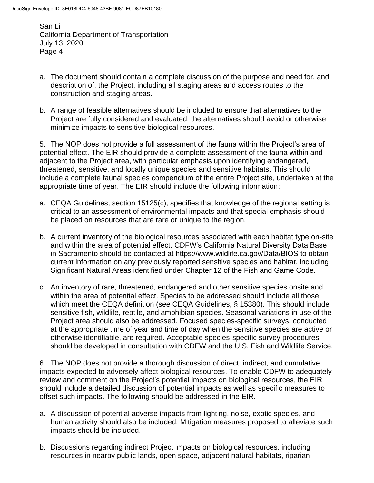- a. The document should contain a complete discussion of the purpose and need for, and description of, the Project, including all staging areas and access routes to the construction and staging areas.
- b. A range of feasible alternatives should be included to ensure that alternatives to the Project are fully considered and evaluated; the alternatives should avoid or otherwise minimize impacts to sensitive biological resources.

5. The NOP does not provide a full assessment of the fauna within the Project's area of potential effect. The EIR should provide a complete assessment of the fauna within and adjacent to the Project area, with particular emphasis upon identifying endangered, threatened, sensitive, and locally unique species and sensitive habitats. This should include a complete faunal species compendium of the entire Project site, undertaken at the appropriate time of year. The EIR should include the following information:

- a. CEQA Guidelines, section 15125(c), specifies that knowledge of the regional setting is critical to an assessment of environmental impacts and that special emphasis should be placed on resources that are rare or unique to the region.
- b. A current inventory of the biological resources associated with each habitat type on-site and within the area of potential effect. CDFW's California Natural Diversity Data Base in Sacramento should be contacted at https://www.wildlife.ca.gov/Data/BIOS to obtain current information on any previously reported sensitive species and habitat, including Significant Natural Areas identified under Chapter 12 of the Fish and Game Code.
- c. An inventory of rare, threatened, endangered and other sensitive species onsite and within the area of potential effect. Species to be addressed should include all those which meet the CEQA definition (see CEQA Guidelines, § 15380). This should include sensitive fish, wildlife, reptile, and amphibian species. Seasonal variations in use of the Project area should also be addressed. Focused species-specific surveys, conducted at the appropriate time of year and time of day when the sensitive species are active or otherwise identifiable, are required. Acceptable species-specific survey procedures should be developed in consultation with CDFW and the U.S. Fish and Wildlife Service.

6. The NOP does not provide a thorough discussion of direct, indirect, and cumulative impacts expected to adversely affect biological resources. To enable CDFW to adequately review and comment on the Project's potential impacts on biological resources, the EIR should include a detailed discussion of potential impacts as well as specific measures to offset such impacts. The following should be addressed in the EIR.

- a. A discussion of potential adverse impacts from lighting, noise, exotic species, and human activity should also be included. Mitigation measures proposed to alleviate such impacts should be included.
- b. Discussions regarding indirect Project impacts on biological resources, including resources in nearby public lands, open space, adjacent natural habitats, riparian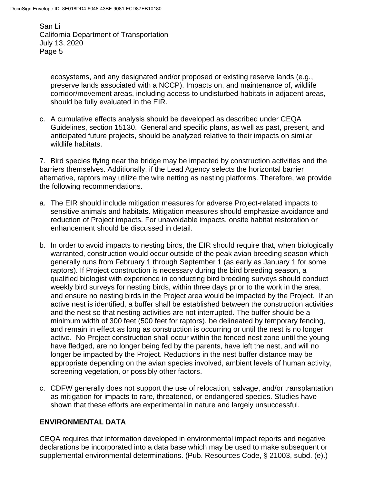ecosystems, and any designated and/or proposed or existing reserve lands (e.g*.*, preserve lands associated with a NCCP). Impacts on, and maintenance of, wildlife corridor/movement areas, including access to undisturbed habitats in adjacent areas, should be fully evaluated in the EIR.

c. A cumulative effects analysis should be developed as described under CEQA Guidelines, section 15130. General and specific plans, as well as past, present, and anticipated future projects, should be analyzed relative to their impacts on similar wildlife habitats.

7. Bird species flying near the bridge may be impacted by construction activities and the barriers themselves. Additionally, if the Lead Agency selects the horizontal barrier alternative, raptors may utilize the wire netting as nesting platforms. Therefore, we provide the following recommendations.

- a. The EIR should include mitigation measures for adverse Project-related impacts to sensitive animals and habitats. Mitigation measures should emphasize avoidance and reduction of Project impacts. For unavoidable impacts, onsite habitat restoration or enhancement should be discussed in detail.
- b. In order to avoid impacts to nesting birds, the EIR should require that, when biologically warranted, construction would occur outside of the peak avian breeding season which generally runs from February 1 through September 1 (as early as January 1 for some raptors). If Project construction is necessary during the bird breeding season, a qualified biologist with experience in conducting bird breeding surveys should conduct weekly bird surveys for nesting birds, within three days prior to the work in the area, and ensure no nesting birds in the Project area would be impacted by the Project. If an active nest is identified, a buffer shall be established between the construction activities and the nest so that nesting activities are not interrupted. The buffer should be a minimum width of 300 feet (500 feet for raptors), be delineated by temporary fencing, and remain in effect as long as construction is occurring or until the nest is no longer active. No Project construction shall occur within the fenced nest zone until the young have fledged, are no longer being fed by the parents, have left the nest, and will no longer be impacted by the Project. Reductions in the nest buffer distance may be appropriate depending on the avian species involved, ambient levels of human activity, screening vegetation, or possibly other factors.
- c. CDFW generally does not support the use of relocation, salvage, and/or transplantation as mitigation for impacts to rare, threatened, or endangered species. Studies have shown that these efforts are experimental in nature and largely unsuccessful.

### **ENVIRONMENTAL DATA**

CEQA requires that information developed in environmental impact reports and negative declarations be incorporated into a data base which may be used to make subsequent or supplemental environmental determinations. (Pub. Resources Code, § 21003, subd. (e).)